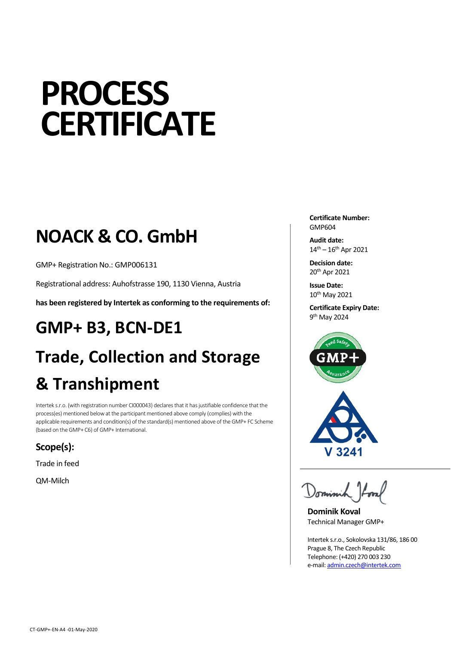# **PROCESS CERTIFICATE**

### **NOACK & CO. GmbH**

GMP+ Registration No.: GMP006131

Registrational address: Auhofstrasse 190, 1130 Vienna, Austria

**has been registered by Intertek as conforming to the requirements of:**

## **GMP+ B3, BCN-DE1 Trade, Collection and Storage & Transhipment**

Intertek s.r.o. (with registration number CI000043) declares that it has justifiable confidence that the process(es) mentioned below at the participant mentioned above comply (complies) with the applicable requirements and condition(s) of the standard(s) mentioned above of the GMP+ FC Scheme (based on the GMP+ C6) of GMP+ International.

**Scope(s):**

Trade in feed

QM-Milch

**Certificate Number:** GMP604

**Audit date:**  $14^{th} - 16^{th}$  Apr 2021

**Decision date:** 20th Apr 2021

**Issue Date:** 10th May 2021

**Certificate Expiry Date:** 9<sup>th</sup> May 2024





**Dominik Koval** Technical Manager GMP+

Intertek s.r.o., Sokolovska 131/86, 186 00 Prague 8, The Czech Republic Telephone: (+420) 270 003 230 e-mail[: admin.czech@intertek.com](mailto:admin.czech@intertek.com)